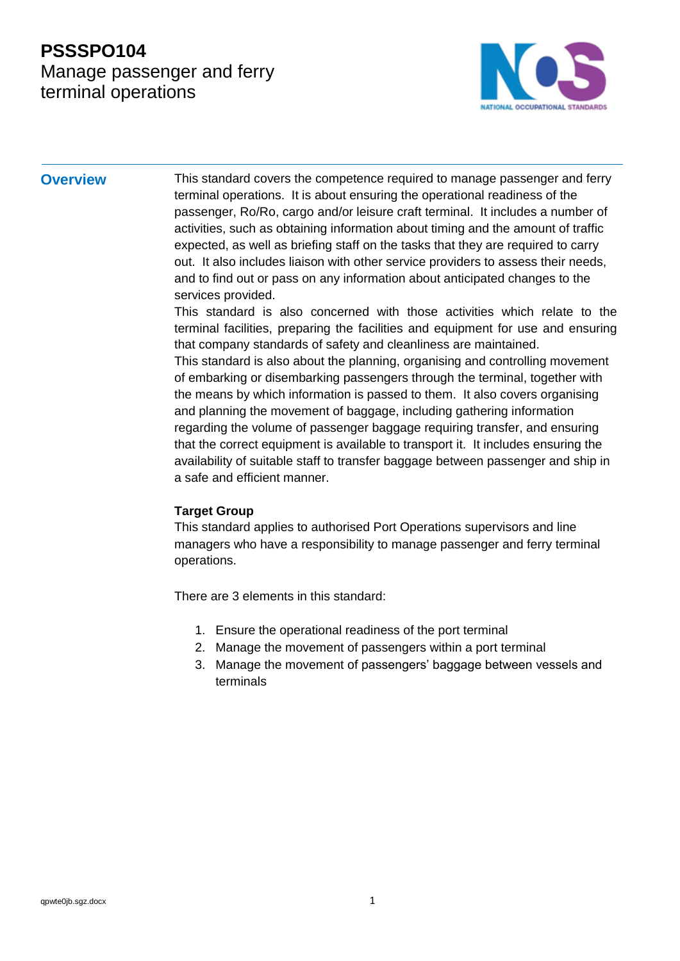### **PSSSPO104** Manage passenger and ferry terminal operations



**Overview** This standard covers the competence required to manage passenger and ferry terminal operations. It is about ensuring the operational readiness of the passenger, Ro/Ro, cargo and/or leisure craft terminal. It includes a number of activities, such as obtaining information about timing and the amount of traffic expected, as well as briefing staff on the tasks that they are required to carry out. It also includes liaison with other service providers to assess their needs, and to find out or pass on any information about anticipated changes to the services provided.

> This standard is also concerned with those activities which relate to the terminal facilities, preparing the facilities and equipment for use and ensuring that company standards of safety and cleanliness are maintained. This standard is also about the planning, organising and controlling movement of embarking or disembarking passengers through the terminal, together with the means by which information is passed to them. It also covers organising and planning the movement of baggage, including gathering information regarding the volume of passenger baggage requiring transfer, and ensuring that the correct equipment is available to transport it. It includes ensuring the availability of suitable staff to transfer baggage between passenger and ship in a safe and efficient manner.

#### **Target Group**

This standard applies to authorised Port Operations supervisors and line managers who have a responsibility to manage passenger and ferry terminal operations.

There are 3 elements in this standard:

- 1. Ensure the operational readiness of the port terminal
- 2. Manage the movement of passengers within a port terminal
- 3. Manage the movement of passengers' baggage between vessels and terminals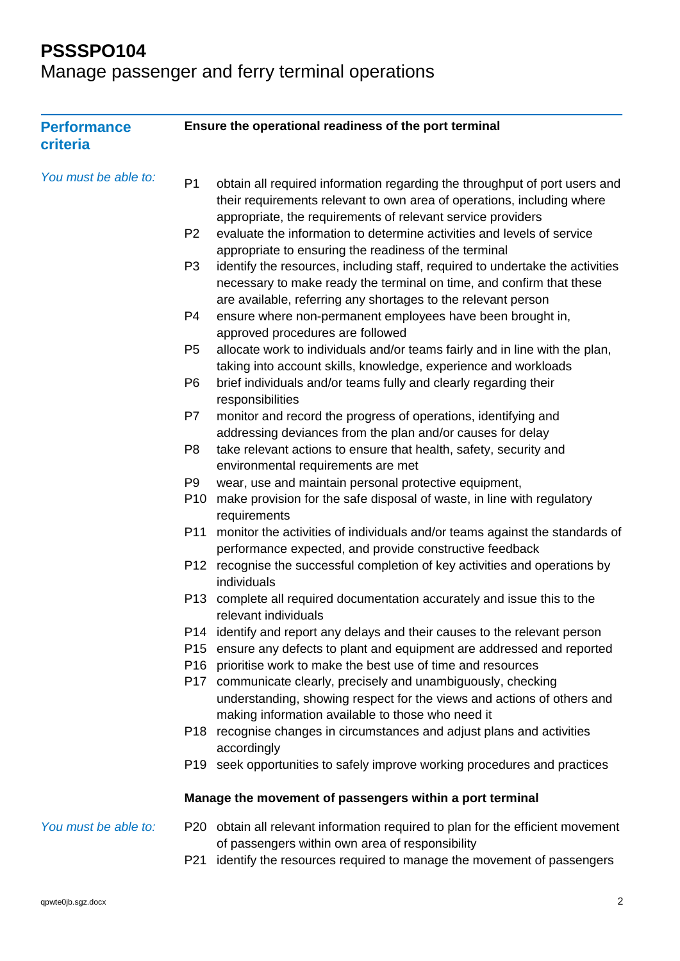Manage passenger and ferry terminal operations

| <b>Performance</b><br>criteria |                                   | Ensure the operational readiness of the port terminal                                                                                                                                                                                                       |
|--------------------------------|-----------------------------------|-------------------------------------------------------------------------------------------------------------------------------------------------------------------------------------------------------------------------------------------------------------|
| You must be able to:           | P <sub>1</sub>                    | obtain all required information regarding the throughput of port users and<br>their requirements relevant to own area of operations, including where<br>appropriate, the requirements of relevant service providers                                         |
|                                | P <sub>2</sub>                    | evaluate the information to determine activities and levels of service<br>appropriate to ensuring the readiness of the terminal                                                                                                                             |
|                                | P <sub>3</sub>                    | identify the resources, including staff, required to undertake the activities<br>necessary to make ready the terminal on time, and confirm that these<br>are available, referring any shortages to the relevant person                                      |
|                                | P <sub>4</sub>                    | ensure where non-permanent employees have been brought in,<br>approved procedures are followed                                                                                                                                                              |
|                                | P <sub>5</sub>                    | allocate work to individuals and/or teams fairly and in line with the plan,<br>taking into account skills, knowledge, experience and workloads                                                                                                              |
|                                | P <sub>6</sub>                    | brief individuals and/or teams fully and clearly regarding their<br>responsibilities                                                                                                                                                                        |
|                                | P7                                | monitor and record the progress of operations, identifying and<br>addressing deviances from the plan and/or causes for delay                                                                                                                                |
|                                | P <sub>8</sub>                    | take relevant actions to ensure that health, safety, security and<br>environmental requirements are met                                                                                                                                                     |
|                                | P <sub>9</sub><br>P <sub>10</sub> | wear, use and maintain personal protective equipment,<br>make provision for the safe disposal of waste, in line with regulatory<br>requirements                                                                                                             |
|                                | P11                               | monitor the activities of individuals and/or teams against the standards of<br>performance expected, and provide constructive feedback                                                                                                                      |
|                                | P12                               | recognise the successful completion of key activities and operations by<br>individuals                                                                                                                                                                      |
|                                | P <sub>13</sub>                   | complete all required documentation accurately and issue this to the<br>relevant individuals                                                                                                                                                                |
|                                | P <sub>15</sub>                   | P14 identify and report any delays and their causes to the relevant person<br>ensure any defects to plant and equipment are addressed and reported                                                                                                          |
|                                | P17                               | P16 prioritise work to make the best use of time and resources<br>communicate clearly, precisely and unambiguously, checking<br>understanding, showing respect for the views and actions of others and<br>making information available to those who need it |
|                                |                                   | P18 recognise changes in circumstances and adjust plans and activities<br>accordingly                                                                                                                                                                       |
|                                | P <sub>19</sub>                   | seek opportunities to safely improve working procedures and practices                                                                                                                                                                                       |
|                                |                                   | Manage the movement of passengers within a port terminal                                                                                                                                                                                                    |
| You must be able to:           |                                   | P20 obtain all relevant information required to plan for the efficient movement<br>of passengers within own area of responsibility                                                                                                                          |
|                                | P21                               | identify the resources required to manage the movement of passengers                                                                                                                                                                                        |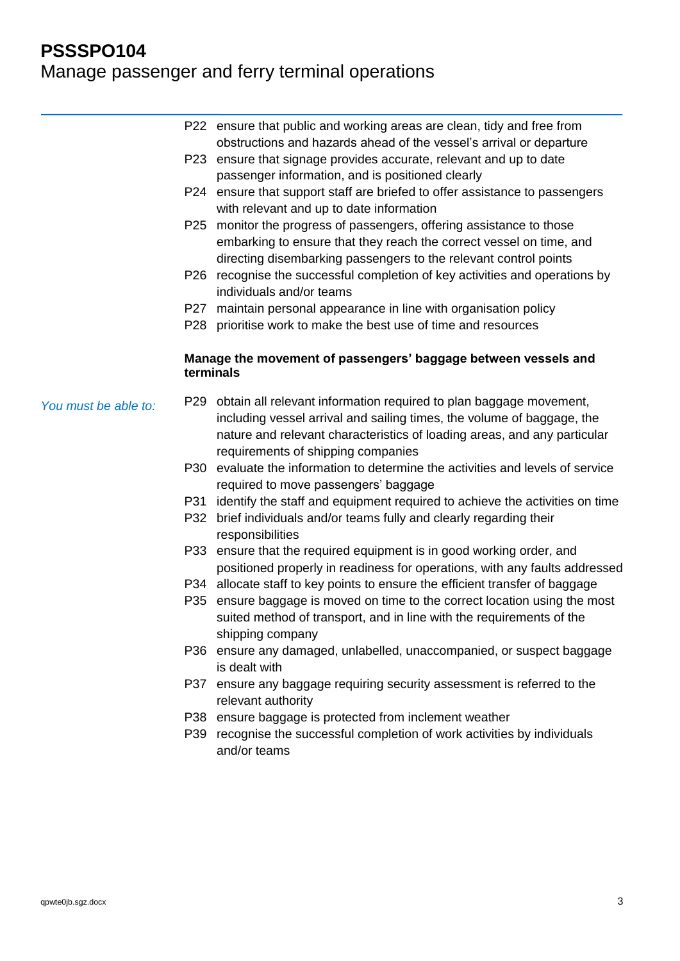# Manage passenger and ferry terminal operations

|                      |           | P22 ensure that public and working areas are clean, tidy and free from<br>obstructions and hazards ahead of the vessel's arrival or departure |
|----------------------|-----------|-----------------------------------------------------------------------------------------------------------------------------------------------|
|                      |           | P23 ensure that signage provides accurate, relevant and up to date                                                                            |
|                      |           | passenger information, and is positioned clearly                                                                                              |
|                      |           | P24 ensure that support staff are briefed to offer assistance to passengers                                                                   |
|                      |           | with relevant and up to date information                                                                                                      |
|                      |           | P25 monitor the progress of passengers, offering assistance to those                                                                          |
|                      |           | embarking to ensure that they reach the correct vessel on time, and                                                                           |
|                      |           | directing disembarking passengers to the relevant control points                                                                              |
|                      |           | P26 recognise the successful completion of key activities and operations by                                                                   |
|                      |           | individuals and/or teams                                                                                                                      |
|                      |           | P27 maintain personal appearance in line with organisation policy                                                                             |
|                      | P28       | prioritise work to make the best use of time and resources                                                                                    |
|                      | terminals | Manage the movement of passengers' baggage between vessels and                                                                                |
|                      |           | P29 obtain all relevant information required to plan baggage movement,                                                                        |
| You must be able to: |           | including vessel arrival and sailing times, the volume of baggage, the                                                                        |
|                      |           | nature and relevant characteristics of loading areas, and any particular                                                                      |
|                      |           | requirements of shipping companies                                                                                                            |
|                      |           | P30 evaluate the information to determine the activities and levels of service                                                                |
|                      |           | required to move passengers' baggage                                                                                                          |
|                      |           | P31 identify the staff and equipment required to achieve the activities on time                                                               |
|                      | P32       | brief individuals and/or teams fully and clearly regarding their                                                                              |
|                      |           | responsibilities                                                                                                                              |
|                      |           | P33 ensure that the required equipment is in good working order, and                                                                          |
|                      |           | positioned properly in readiness for operations, with any faults addressed                                                                    |
|                      |           | P34 allocate staff to key points to ensure the efficient transfer of baggage                                                                  |
|                      |           | P35 ensure baggage is moved on time to the correct location using the most                                                                    |
|                      |           | suited method of transport, and in line with the requirements of the                                                                          |
|                      |           | shipping company                                                                                                                              |
|                      |           | P36 ensure any damaged, unlabelled, unaccompanied, or suspect baggage                                                                         |
|                      |           | is dealt with                                                                                                                                 |
|                      |           | P37 ensure any baggage requiring security assessment is referred to the                                                                       |
|                      |           | relevant authority                                                                                                                            |
|                      |           | P38 ensure baggage is protected from inclement weather                                                                                        |
|                      |           | P39 recognise the successful completion of work activities by individuals<br>and/or teams                                                     |
|                      |           |                                                                                                                                               |
|                      |           |                                                                                                                                               |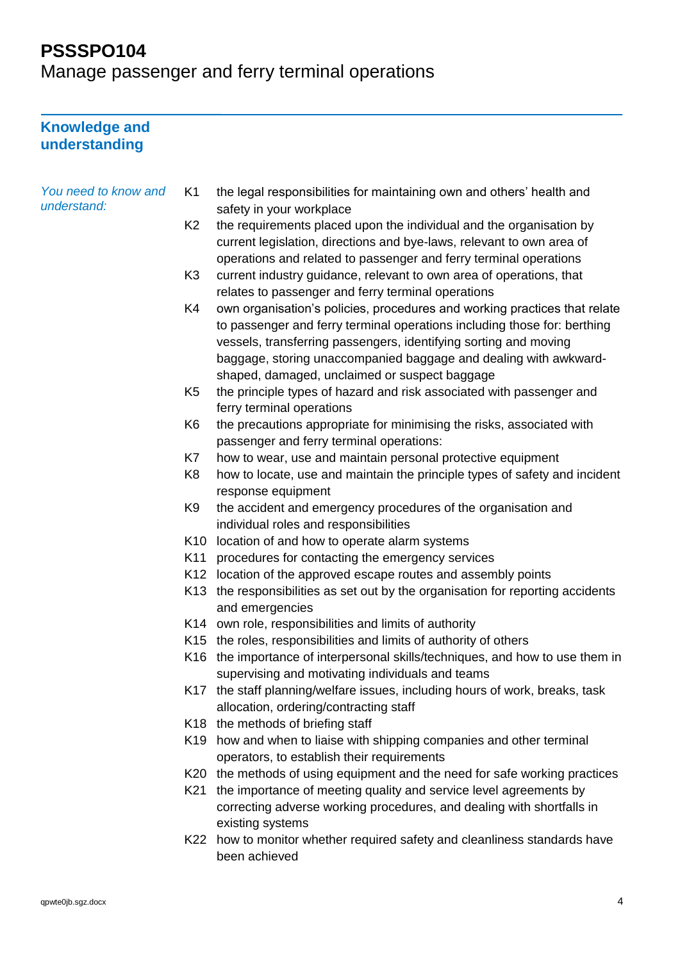Manage passenger and ferry terminal operations

#### **Knowledge and understanding**

| You need to know and | K1              | the legal responsibilities for maintaining own and others' health and                                                                                                                                                                                                                                                                          |
|----------------------|-----------------|------------------------------------------------------------------------------------------------------------------------------------------------------------------------------------------------------------------------------------------------------------------------------------------------------------------------------------------------|
| understand:          |                 | safety in your workplace                                                                                                                                                                                                                                                                                                                       |
|                      | K <sub>2</sub>  | the requirements placed upon the individual and the organisation by<br>current legislation, directions and bye-laws, relevant to own area of<br>operations and related to passenger and ferry terminal operations                                                                                                                              |
|                      | K <sub>3</sub>  | current industry guidance, relevant to own area of operations, that<br>relates to passenger and ferry terminal operations                                                                                                                                                                                                                      |
|                      | K4              | own organisation's policies, procedures and working practices that relate<br>to passenger and ferry terminal operations including those for: berthing<br>vessels, transferring passengers, identifying sorting and moving<br>baggage, storing unaccompanied baggage and dealing with awkward-<br>shaped, damaged, unclaimed or suspect baggage |
|                      | K <sub>5</sub>  | the principle types of hazard and risk associated with passenger and<br>ferry terminal operations                                                                                                                                                                                                                                              |
|                      | K <sub>6</sub>  | the precautions appropriate for minimising the risks, associated with<br>passenger and ferry terminal operations:                                                                                                                                                                                                                              |
|                      | K7              | how to wear, use and maintain personal protective equipment                                                                                                                                                                                                                                                                                    |
|                      | K <sub>8</sub>  | how to locate, use and maintain the principle types of safety and incident<br>response equipment                                                                                                                                                                                                                                               |
|                      | K <sub>9</sub>  | the accident and emergency procedures of the organisation and<br>individual roles and responsibilities                                                                                                                                                                                                                                         |
|                      | K <sub>10</sub> | location of and how to operate alarm systems                                                                                                                                                                                                                                                                                                   |
|                      | K11             | procedures for contacting the emergency services                                                                                                                                                                                                                                                                                               |
|                      | K12             | location of the approved escape routes and assembly points                                                                                                                                                                                                                                                                                     |
|                      | K13             | the responsibilities as set out by the organisation for reporting accidents<br>and emergencies                                                                                                                                                                                                                                                 |
|                      |                 | K14 own role, responsibilities and limits of authority                                                                                                                                                                                                                                                                                         |
|                      |                 | K15 the roles, responsibilities and limits of authority of others                                                                                                                                                                                                                                                                              |
|                      | K16             | the importance of interpersonal skills/techniques, and how to use them in<br>supervising and motivating individuals and teams                                                                                                                                                                                                                  |
|                      |                 | K17 the staff planning/welfare issues, including hours of work, breaks, task<br>allocation, ordering/contracting staff                                                                                                                                                                                                                         |
|                      |                 | K18 the methods of briefing staff                                                                                                                                                                                                                                                                                                              |
|                      |                 | K19 how and when to liaise with shipping companies and other terminal<br>operators, to establish their requirements                                                                                                                                                                                                                            |
|                      |                 | K20 the methods of using equipment and the need for safe working practices                                                                                                                                                                                                                                                                     |
|                      | K21             | the importance of meeting quality and service level agreements by<br>correcting adverse working procedures, and dealing with shortfalls in<br>existing systems                                                                                                                                                                                 |
|                      |                 | K22 how to monitor whether required safety and cleanliness standards have<br>been achieved                                                                                                                                                                                                                                                     |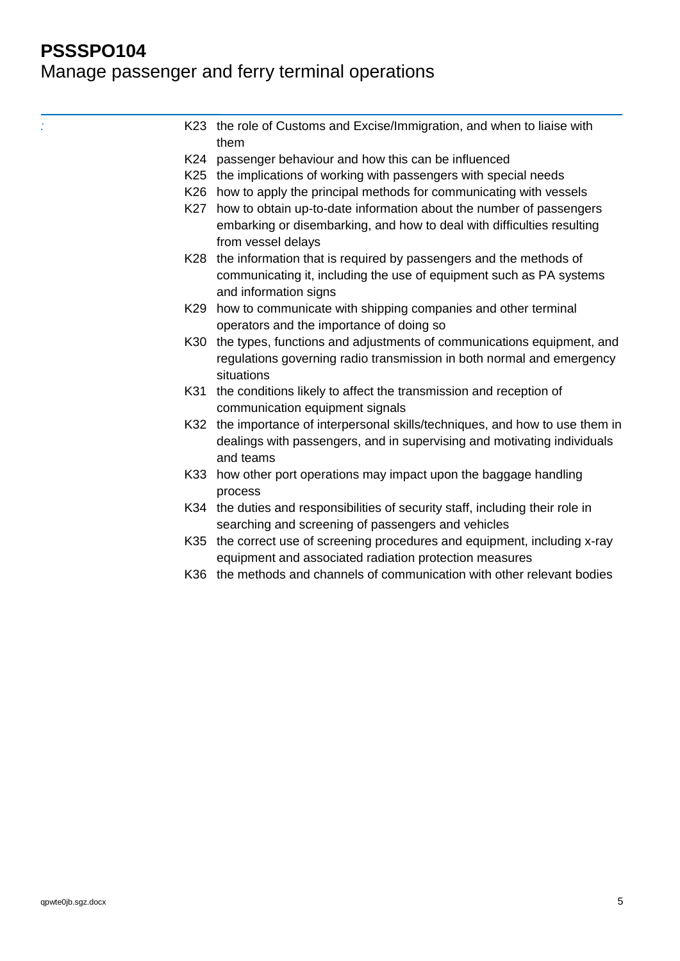#### Manage passenger and ferry terminal operations

K23 the role of Customs and Excise/Immigration, and when to liaise with them K24 passenger behaviour and how this can be influenced K25 the implications of working with passengers with special needs K26 how to apply the principal methods for communicating with vessels K27 how to obtain up-to-date information about the number of passengers embarking or disembarking, and how to deal with difficulties resulting from vessel delays K28 the information that is required by passengers and the methods of communicating it, including the use of equipment such as PA systems and information signs K29 how to communicate with shipping companies and other terminal operators and the importance of doing so K30 the types, functions and adjustments of communications equipment, and regulations governing radio transmission in both normal and emergency situations K31 the conditions likely to affect the transmission and reception of communication equipment signals K32 the importance of interpersonal skills/techniques, and how to use them in dealings with passengers, and in supervising and motivating individuals and teams K33 how other port operations may impact upon the baggage handling process K34 the duties and responsibilities of security staff, including their role in searching and screening of passengers and vehicles K35 the correct use of screening procedures and equipment, including x-ray equipment and associated radiation protection measures K36 the methods and channels of communication with other relevant bodies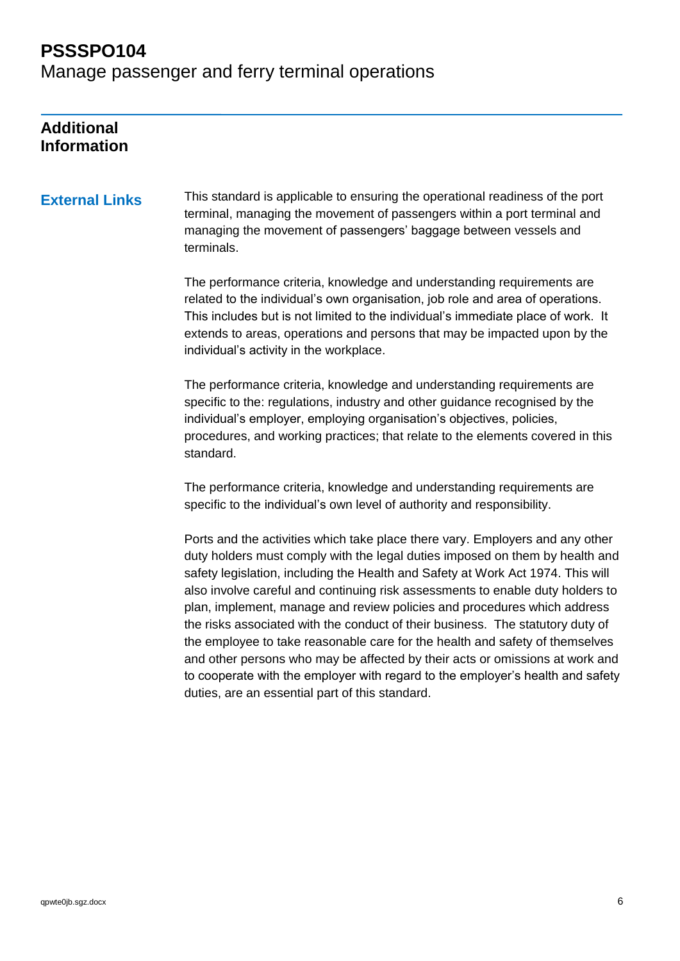Manage passenger and ferry terminal operations

#### **Additional Information**

**External Links** This standard is applicable to ensuring the operational readiness of the port terminal, managing the movement of passengers within a port terminal and managing the movement of passengers' baggage between vessels and terminals.

> The performance criteria, knowledge and understanding requirements are related to the individual's own organisation, job role and area of operations. This includes but is not limited to the individual's immediate place of work. It extends to areas, operations and persons that may be impacted upon by the individual's activity in the workplace.

> The performance criteria, knowledge and understanding requirements are specific to the: regulations, industry and other guidance recognised by the individual's employer, employing organisation's objectives, policies, procedures, and working practices; that relate to the elements covered in this standard.

The performance criteria, knowledge and understanding requirements are specific to the individual's own level of authority and responsibility.

Ports and the activities which take place there vary. Employers and any other duty holders must comply with the legal duties imposed on them by health and safety legislation, including the Health and Safety at Work Act 1974. This will also involve careful and continuing risk assessments to enable duty holders to plan, implement, manage and review policies and procedures which address the risks associated with the conduct of their business. The statutory duty of the employee to take reasonable care for the health and safety of themselves and other persons who may be affected by their acts or omissions at work and to cooperate with the employer with regard to the employer's health and safety duties, are an essential part of this standard.